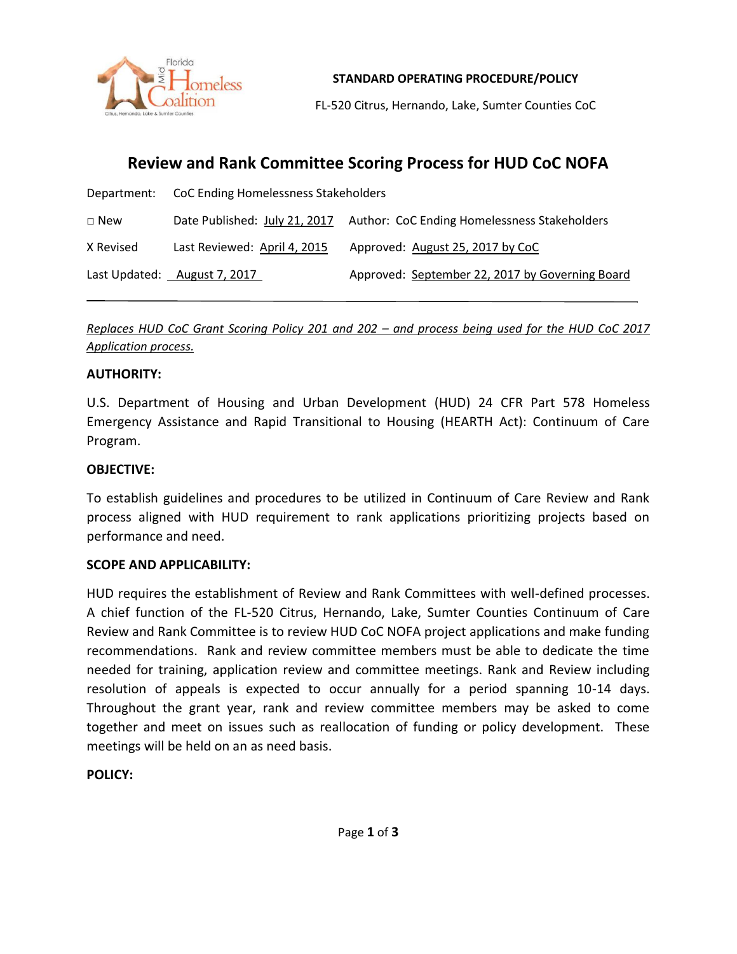

**STANDARD OPERATING PROCEDURE/POLICY**

FL-520 Citrus, Hernando, Lake, Sumter Counties CoC

# **Review and Rank Committee Scoring Process for HUD CoC NOFA**

|               | Department: CoC Ending Homelessness Stakeholders |                                                     |
|---------------|--------------------------------------------------|-----------------------------------------------------|
| $\square$ New | Date Published: July 21, 2017                    | <b>Author: CoC Ending Homelessness Stakeholders</b> |
| X Revised     | Last Reviewed: April 4, 2015                     | Approved: August 25, 2017 by CoC                    |
|               | Last Updated: August 7, 2017                     | Approved: September 22, 2017 by Governing Board     |

#### *Replaces HUD CoC Grant Scoring Policy 201 and 202 – and process being used for the HUD CoC 2017 Application process.*

#### **AUTHORITY:**

U.S. Department of Housing and Urban Development (HUD) 24 CFR Part 578 Homeless Emergency Assistance and Rapid Transitional to Housing (HEARTH Act): Continuum of Care Program.

#### **OBJECTIVE:**

To establish guidelines and procedures to be utilized in Continuum of Care Review and Rank process aligned with HUD requirement to rank applications prioritizing projects based on performance and need.

#### **SCOPE AND APPLICABILITY:**

HUD requires the establishment of Review and Rank Committees with well-defined processes. A chief function of the FL-520 Citrus, Hernando, Lake, Sumter Counties Continuum of Care Review and Rank Committee is to review HUD CoC NOFA project applications and make funding recommendations. Rank and review committee members must be able to dedicate the time needed for training, application review and committee meetings. Rank and Review including resolution of appeals is expected to occur annually for a period spanning 10-14 days. Throughout the grant year, rank and review committee members may be asked to come together and meet on issues such as reallocation of funding or policy development. These meetings will be held on an as need basis.

#### **POLICY:**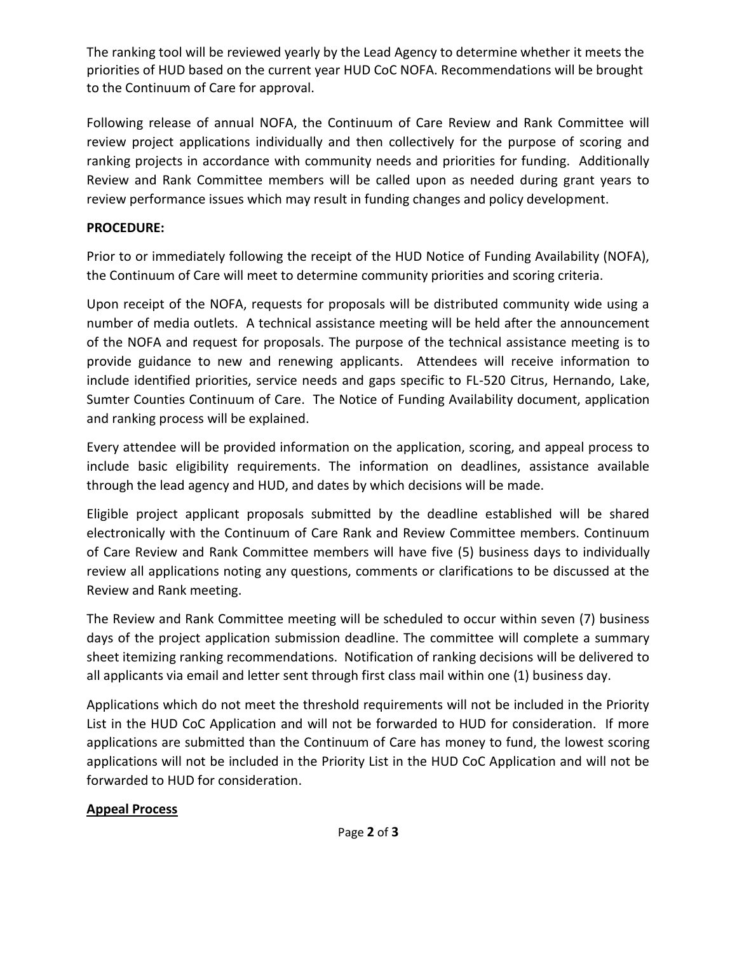The ranking tool will be reviewed yearly by the Lead Agency to determine whether it meets the priorities of HUD based on the current year HUD CoC NOFA. Recommendations will be brought to the Continuum of Care for approval.

Following release of annual NOFA, the Continuum of Care Review and Rank Committee will review project applications individually and then collectively for the purpose of scoring and ranking projects in accordance with community needs and priorities for funding. Additionally Review and Rank Committee members will be called upon as needed during grant years to review performance issues which may result in funding changes and policy development.

### **PROCEDURE:**

Prior to or immediately following the receipt of the HUD Notice of Funding Availability (NOFA), the Continuum of Care will meet to determine community priorities and scoring criteria.

Upon receipt of the NOFA, requests for proposals will be distributed community wide using a number of media outlets. A technical assistance meeting will be held after the announcement of the NOFA and request for proposals. The purpose of the technical assistance meeting is to provide guidance to new and renewing applicants. Attendees will receive information to include identified priorities, service needs and gaps specific to FL-520 Citrus, Hernando, Lake, Sumter Counties Continuum of Care. The Notice of Funding Availability document, application and ranking process will be explained.

Every attendee will be provided information on the application, scoring, and appeal process to include basic eligibility requirements. The information on deadlines, assistance available through the lead agency and HUD, and dates by which decisions will be made.

Eligible project applicant proposals submitted by the deadline established will be shared electronically with the Continuum of Care Rank and Review Committee members. Continuum of Care Review and Rank Committee members will have five (5) business days to individually review all applications noting any questions, comments or clarifications to be discussed at the Review and Rank meeting.

The Review and Rank Committee meeting will be scheduled to occur within seven (7) business days of the project application submission deadline. The committee will complete a summary sheet itemizing ranking recommendations. Notification of ranking decisions will be delivered to all applicants via email and letter sent through first class mail within one (1) business day.

Applications which do not meet the threshold requirements will not be included in the Priority List in the HUD CoC Application and will not be forwarded to HUD for consideration. If more applications are submitted than the Continuum of Care has money to fund, the lowest scoring applications will not be included in the Priority List in the HUD CoC Application and will not be forwarded to HUD for consideration.

## **Appeal Process**